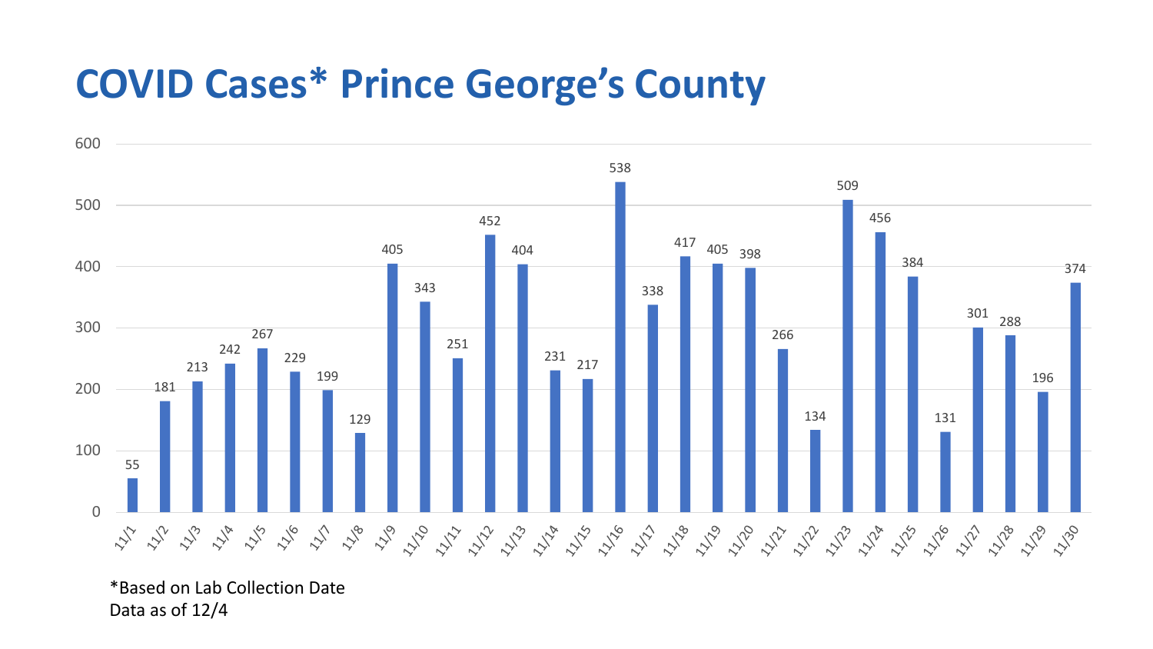## **COVID Cases\* Prince George's County**



<sup>\*</sup>Based on Lab Collection Date Data as of 12/4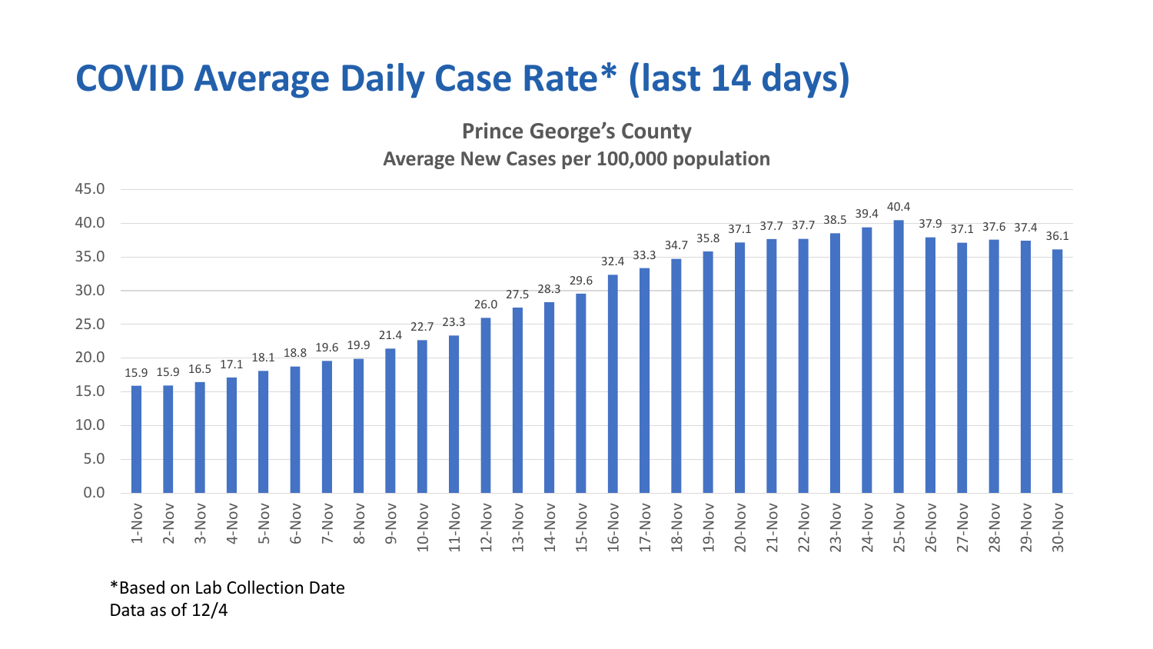## **COVID Average Daily Case Rate\* (last 14 days)**

**Prince George's County**

**Average New Cases per 100,000 population**



\*Based on Lab Collection Date Data as of 12/4